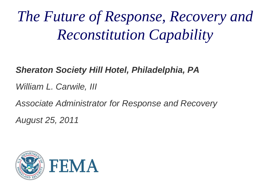# *The Future of Response, Recovery and Reconstitution Capability*

#### *Sheraton Society Hill Hotel, Philadelphia, PA*

*William L. Carwile, III*

*Associate Administrator for Response and Recovery*

*August 25, 2011* 

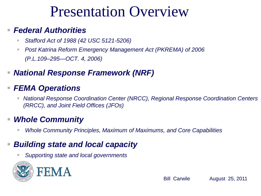# Presentation Overview

#### *Federal Authorities*

- *Stafford Act of 1988 (42 USC 5121-5206)*
- Post Katrina Reform Emergency Management Act (PKREMA) of 2006 *(P.L.109–295—OCT. 4, 2006)*
- *National Response Framework (NRF)*

#### *FEMA Operations*

 *National Response Coordination Center (NRCC), Regional Response Coordination Centers (RRCC), and Joint Field Offices (JFOs)* 

#### *Whole Community*

*Whole Community Principles, Maximum of Maximums, and Core Capabilities*

#### *Building state and local capacity*

*Supporting state and local governments* 

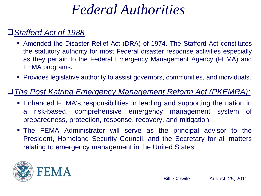# *Federal Authorities*

#### *Stafford Act of 1988*

- Amended the Disaster Relief Act (DRA) of 1974. The Stafford Act constitutes the statutory authority for most Federal disaster response activities especially as they pertain to the Federal Emergency Management Agency (FEMA) and FEMA programs.
- Provides legislative authority to assist governors, communities, and individuals.

#### *The Post Katrina Emergency Management Reform Act (PKEMRA):*

- Enhanced FEMA's responsibilities in leading and supporting the nation in a risk-based, comprehensive emergency management system of preparedness, protection, response, recovery, and mitigation.
- The FEMA Administrator will serve as the principal advisor to the President, Homeland Security Council, and the Secretary for all matters relating to emergency management in the United States.

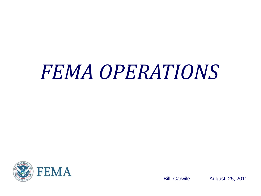# *FEMA OPERATIONS*

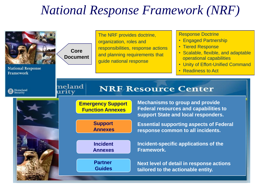## *National Response Framework (NRF)*

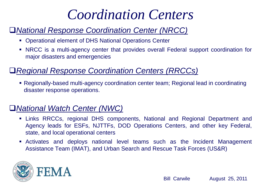# *Coordination Centers*

#### *National Response Coordination Center (NRCC)*

- Operational element of DHS National Operations Center
- NRCC is a multi-agency center that provides overall Federal support coordination for major disasters and emergencies

#### *Regional Response Coordination Centers (RRCCs)*

 Regionally-based multi-agency coordination center team; Regional lead in coordinating disaster response operations.

#### *National Watch Center (NWC)*

- Links RRCCs, regional DHS components, National and Regional Department and Agency leads for ESFs, NJTTFs, DOD Operations Centers, and other key Federal, state, and local operational centers
- Activates and deploys national level teams such as the Incident Management Assistance Team (IMAT), and Urban Search and Rescue Task Forces (US&R)

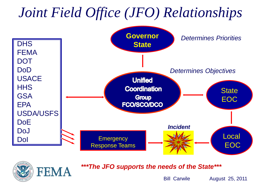# *Joint Field Office (JFO) Relationships*





*\*\*\*The JFO supports the needs of the State\*\*\**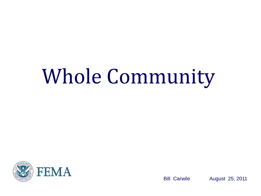# Whole Community

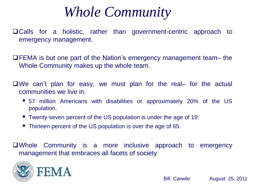*Whole Community* 

Calls for a holistic, rather than government-centric approach to emergency management.

FEMA is but one part of the Nation's emergency management team– the Whole Community makes up the whole team.

We can't plan for easy, we must plan for the real– for the actual communities we live in.

- 57 million Americans with disabilities or approximately 20% of the US population.
- Twenty-seven percent of the US population is under the age of 19.
- Thirteen percent of the US population is over the age of 65.

Whole Community is a more inclusive approach to emergency management that embraces all facets of society

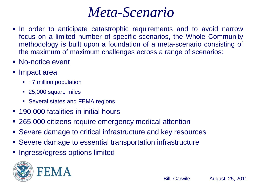## The *Meta-Scenario*

- In order to anticipate catastrophic requirements and to avoid narrow focus on a limited number of specific scenarios, the Whole Community methodology is built upon a foundation of a meta-scenario consisting of the maximum of maximum challenges across a range of scenarios:
- **No-notice event**
- Impact area
	- $\bullet$  ~7 million population
	- 25,000 square miles
	- Several states and FEMA regions
- 190,000 fatalities in initial hours
- 265,000 citizens require emergency medical attention
- Severe damage to critical infrastructure and key resources
- Severe damage to essential transportation infrastructure
- **Ingress/egress options limited**

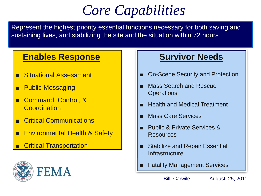# *Core Capabilities*

Represent the highest priority essential functions necessary for both saving and sustaining lives, and stabilizing the site and the situation within 72 hours.

#### **Enables Response**

- **Situational Assessment**
- Public Messaging
- Command, Control, & Coordination
- **Critical Communications**
- **Environmental Health & Safety**
- **Critical Transportation**



#### **Survivor Needs**

- On-Scene Security and Protection
- **Mass Search and Rescue Operations**
- **Health and Medical Treatment**
- **Mass Care Services**
- Public & Private Services & Resources
- Stabilize and Repair Essential **Infrastructure**
- **Fatality Management Services**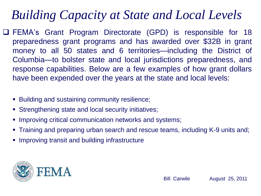## *Building Capacity at State and Local Levels*

- FEMA's Grant Program Directorate (GPD) is responsible for 18 preparedness grant programs and has awarded over \$32B in grant money to all 50 states and 6 territories—including the District of Columbia—to bolster state and local jurisdictions preparedness, and response capabilities. Below are a few examples of how grant dollars have been expended over the years at the state and local levels:
	- **Building and sustaining community resilience;**
	- Strengthening state and local security initiatives;
	- **Improving critical communication networks and systems;**
	- Training and preparing urban search and rescue teams, including K-9 units and;
	- **IMPROVING TRANSITY IN A DIMENSITY IN THE IMPROVING THE IMAGE IS A UP THANGING THE IMAGE IS A UP THANGING THE I**